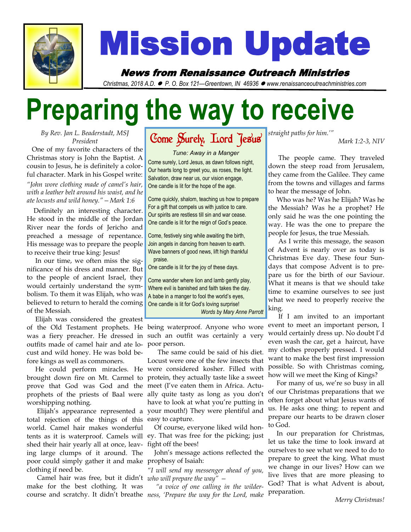

# Mission Update

News from Renaissance Outreach Ministries

*Christmas, 2018 A.D.* ⚫ *P. O. Box 121—Greentown, IN 46936* ⚫ *www.renaissanceoutreachministries.com*

# **Preparing the way to receive**

*By Rev. Jan L. Beaderstadt, MSJ President*

 One of my favorite characters of the Christmas story is John the Baptist. A cousin to Jesus, he is definitely a colorful character. Mark in his Gospel write: *"John wore clothing made of camel's hair, with a leather belt around his waist, and he ate locusts and wild honey."—Mark 1:6* 

 Definitely an interesting character. He stood in the middle of the Jordan River near the fords of Jericho and preached a message of repentance. His message was to prepare the people to receive their true king: Jesus!

 In our time, we often miss the significance of his dress and manner. But to the people of ancient Israel, they would certainly understand the symbolism. To them it was Elijah, who was believed to return to herald the coming of the Messiah.

 Elijah was considered the greatest of the Old Testament prophets. He was a fiery preacher. He dressed in outfits made of camel hair and ate locust and wild honey. He was bold before kings as well as commoners.

 He could perform miracles. He brought down fire on Mt. Carmel to prove that God was God and the worshipping nothing.

 Elijah's appearance represented a total rejection of the things of this world. Camel hair makes wonderful tents as it is waterproof. Camels will shed their hair yearly all at once, leaving large clumps of it around. The poor could simply gather it and make clothing if need be.

 Camel hair was free, but it didn't *who will prepare the way"*  make for the best clothing. It was

Come Surely, Lord Jesus

*Tune: Away in a Manger* Come surely, Lord Jesus, as dawn follows night, Our hearts long to greet you, as roses, the light. Salvation, draw near us, our vision engage, One candle is lit for the hope of the age.

Come quickly, shalom, teaching us how to prepare For a gift that compels us with justice to care. Our spirits are restless till sin and war cease. One candle is lit for the reign of God's peace.

Come, festively sing while awaiting the birth, Join angels in dancing from heaven to earth. Wave banners of good news, lift high thankful praise.

One candle is lit for the joy of these days.

Come wander where lion and lamb gently play, Where evil is banished and faith takes the day. A babe in a manger to fool the world's eyes, One candle is lit for God's loving surprise! *Words by Mary Anne Parrott*

being waterproof. Anyone who wore such an outfit was certainly a very poor person.

prophets of the priests of Baal were ally quite tasty as long as you don't The same could be said of his diet. Locust were one of the few insects that were considered kosher. Filled with protein, they actually taste like a sweet meet (I've eaten them in Africa. Actuhave to look at what you're putting in your mouth!) They were plentiful and easy to capture.

> Of course, everyone liked wild honey. That was free for the picking; just fight off the bees!

> John's message actions reflected the prophesy of Isaiah:

> *"I will send my messenger ahead of you,*

course and scratchy. It didn't breathe *ness, 'Prepare the way for the Lord, make "a voice of one calling in the wilder-*

*straight paths for him.'"*

*Mark 1:2-3, NIV*

 The people came. They traveled down the steep road from Jerusalem, they came from the Galilee. They came from the towns and villages and farms to hear the message of John.

 Who was he? Was he Elijah? Was he the Messiah? Was he a prophet? He only said he was the one pointing the way. He was the one to prepare the people for Jesus, the true Messiah.

 As I write this message, the season of Advent is nearly over as today is Christmas Eve day. These four Sundays that compose Advent is to prepare us for the birth of our Saviour. What it means is that we should take time to examine ourselves to see just what we need to properly receive the king.

 If I am invited to an important event to meet an important person, I would certainly dress up. No doubt I'd even wash the car, get a haircut, have my clothes properly pressed. I would want to make the best first impression possible. So with Christmas coming, how will we meet the King of Kings?

 For many of us, we're so busy in all of our Christmas preparations that we often forget about what Jesus wants of us. He asks one thing: to repent and prepare our hearts to be drawn closer to God.

 In our preparation for Christmas, let us take the time to look inward at ourselves to see what we need to do to prepare to greet the king. What must we change in our lives? How can we live lives that are more pleasing to God? That is what Advent is about, preparation.